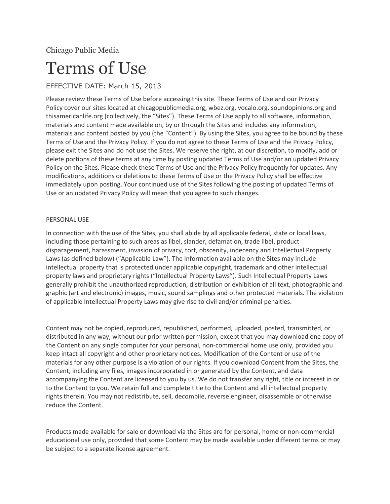Chicago Public Media

# Terms of Use

# EFFECTIVE DATE: March 15, 2013

Please review these Terms of Use before accessing this site. These Terms of Use and our Privacy Policy cover our sites located at chicagopublicmedia.org, wbez.org, vocalo.org, soundopinions.org and thisamericanlife.org (collectively, the "Sites"). These Terms of Use apply to all software, information, materials and content made available on, by or through the Sites and includes any information, materials and content posted by you (the "Content"). By using the Sites, you agree to be bound by these Terms of Use and the Privacy Policy. If you do not agree to these Terms of Use and the Privacy Policy, please exit the Sites and do not use the Sites. We reserve the right, at our discretion, to modify, add or delete portions of these terms at any time by posting updated Terms of Use and/or an updated Privacy Policy on the Sites. Please check these Terms of Use and the Privacy Policy frequently for updates. Any modifications, additions or deletions to these Terms of Use or the Privacy Policy shall be effective immediately upon posting. Your continued use of the Sites following the posting of updated Terms of Use or an updated Privacy Policy will mean that you agree to such changes.

# PERSONAL USE

In connection with the use of the Sites, you shall abide by all applicable federal, state or local laws, including those pertaining to such areas as libel, slander, defamation, trade libel, product disparagement, harassment, invasion of privacy, tort, obscenity, indecency and Intellectual Property Laws (as defined below) ("Applicable Law"). The Information available on the Sites may include intellectual property that is protected under applicable copyright, trademark and other intellectual property laws and proprietary rights ("Intellectual Property Laws"). Such Intellectual Property Laws generally prohibit the unauthorized reproduction, distribution or exhibition of all text, photographic and graphic (art and electronic) images, music, sound samplings and other protected materials. The violation of applicable Intellectual Property Laws may give rise to civil and/or criminal penalties.

Content may not be copied, reproduced, republished, performed, uploaded, posted, transmitted, or distributed in any way, without our prior written permission, except that you may download one copy of the Content on any single computer for your personal, non-commercial home use only, provided you keep intact all copyright and other proprietary notices. Modification of the Content or use of the materials for any other purpose is a violation of our rights. If you download Content from the Sites, the Content, including any files, images incorporated in or generated by the Content, and data accompanying the Content are licensed to you by us. We do not transfer any right, title or interest in or to the Content to you. We retain full and complete title to the Content and all intellectual property rights therein. You may not redistribute, sell, decompile, reverse engineer, disassemble or otherwise reduce the Content.

Products made available for sale or download via the Sites are for personal, home or non-commercial educational use only, provided that some Content may be made available under different terms or may be subject to a separate license agreement.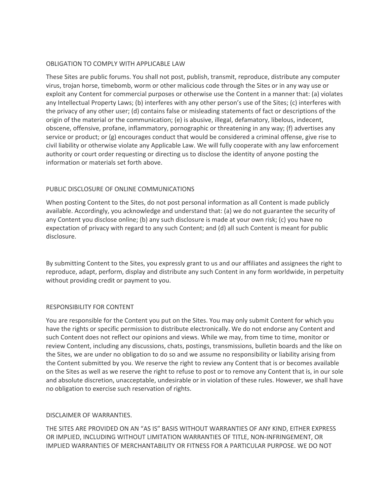#### OBLIGATION TO COMPLY WITH APPLICABLE LAW

These Sites are public forums. You shall not post, publish, transmit, reproduce, distribute any computer virus, trojan horse, timebomb, worm or other malicious code through the Sites or in any way use or exploit any Content for commercial purposes or otherwise use the Content in a manner that: (a) violates any Intellectual Property Laws; (b) interferes with any other person's use of the Sites; (c) interferes with the privacy of any other user; (d) contains false or misleading statements of fact or descriptions of the origin of the material or the communication; (e) is abusive, illegal, defamatory, libelous, indecent, obscene, offensive, profane, inflammatory, pornographic or threatening in any way; (f) advertises any service or product; or (g) encourages conduct that would be considered a criminal offense, give rise to civil liability or otherwise violate any Applicable Law. We will fully cooperate with any law enforcement authority or court order requesting or directing us to disclose the identity of anyone posting the information or materials set forth above.

# PUBLIC DISCLOSURE OF ONLINE COMMUNICATIONS

When posting Content to the Sites, do not post personal information as all Content is made publicly available. Accordingly, you acknowledge and understand that: (a) we do not guarantee the security of any Content you disclose online; (b) any such disclosure is made at your own risk; (c) you have no expectation of privacy with regard to any such Content; and (d) all such Content is meant for public disclosure.

By submitting Content to the Sites, you expressly grant to us and our affiliates and assignees the right to reproduce, adapt, perform, display and distribute any such Content in any form worldwide, in perpetuity without providing credit or payment to you.

# RESPONSIBILITY FOR CONTENT

You are responsible for the Content you put on the Sites. You may only submit Content for which you have the rights or specific permission to distribute electronically. We do not endorse any Content and such Content does not reflect our opinions and views. While we may, from time to time, monitor or review Content, including any discussions, chats, postings, transmissions, bulletin boards and the like on the Sites, we are under no obligation to do so and we assume no responsibility or liability arising from the Content submitted by you. We reserve the right to review any Content that is or becomes available on the Sites as well as we reserve the right to refuse to post or to remove any Content that is, in our sole and absolute discretion, unacceptable, undesirable or in violation of these rules. However, we shall have no obligation to exercise such reservation of rights.

# DISCLAIMER OF WARRANTIES.

THE SITES ARE PROVIDED ON AN "AS IS" BASIS WITHOUT WARRANTIES OF ANY KIND, EITHER EXPRESS OR IMPLIED, INCLUDING WITHOUT LIMITATION WARRANTIES OF TITLE, NON-INFRINGEMENT, OR IMPLIED WARRANTIES OF MERCHANTABILITY OR FITNESS FOR A PARTICULAR PURPOSE. WE DO NOT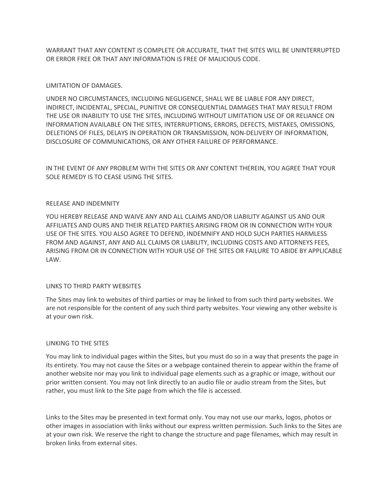WARRANT THAT ANY CONTENT IS COMPLETE OR ACCURATE, THAT THE SITES WILL BE UNINTERRUPTED OR ERROR FREE OR THAT ANY INFORMATION IS FREE OF MALICIOUS CODE.

# LIMITATION OF DAMAGES.

UNDER NO CIRCUMSTANCES, INCLUDING NEGLIGENCE, SHALL WE BE LIABLE FOR ANY DIRECT, INDIRECT, INCIDENTAL, SPECIAL, PUNITIVE OR CONSEQUENTIAL DAMAGES THAT MAY RESULT FROM THE USE OR INABILITY TO USE THE SITES, INCLUDING WITHOUT LIMITATION USE OF OR RELIANCE ON INFORMATION AVAILABLE ON THE SITES, INTERRUPTIONS, ERRORS, DEFECTS, MISTAKES, OMISSIONS, DELETIONS OF FILES, DELAYS IN OPERATION OR TRANSMISSION, NON-DELIVERY OF INFORMATION, DISCLOSURE OF COMMUNICATIONS, OR ANY OTHER FAILURE OF PERFORMANCE.

IN THE EVENT OF ANY PROBLEM WITH THE SITES OR ANY CONTENT THEREIN, YOU AGREE THAT YOUR SOLE REMEDY IS TO CEASE USING THE SITES.

#### RELEASE AND INDEMNITY

YOU HEREBY RELEASE AND WAIVE ANY AND ALL CLAIMS AND/OR LIABILITY AGAINST US AND OUR AFFILIATES AND OURS AND THEIR RELATED PARTIES ARISING FROM OR IN CONNECTION WITH YOUR USE OF THE SITES. YOU ALSO AGREE TO DEFEND, INDEMNIFY AND HOLD SUCH PARTIES HARMLESS FROM AND AGAINST, ANY AND ALL CLAIMS OR LIABILITY, INCLUDING COSTS AND ATTORNEYS FEES, ARISING FROM OR IN CONNECTION WITH YOUR USE OF THE SITES OR FAILURE TO ABIDE BY APPLICABLE LAW.

#### LINKS TO THIRD PARTY WEBSITES

The Sites may link to websites of third parties or may be linked to from such third party websites. We are not responsible for the content of any such third party websites. Your viewing any other website is at your own risk.

#### LINKING TO THE SITES

You may link to individual pages within the Sites, but you must do so in a way that presents the page in its entirety. You may not cause the Sites or a webpage contained therein to appear within the frame of another website nor may you link to individual page elements such as a graphic or image, without our prior written consent. You may not link directly to an audio file or audio stream from the Sites, but rather, you must link to the Site page from which the file is accessed.

Links to the Sites may be presented in text format only. You may not use our marks, logos, photos or other images in association with links without our express written permission. Such links to the Sites are at your own risk. We reserve the right to change the structure and page filenames, which may result in broken links from external sites.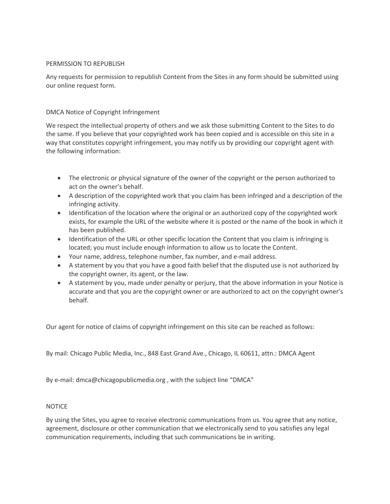# PERMISSION TO REPUBLISH

Any requests for permission to republish Content from the Sites in any form should be submitted using our online request form.

# DMCA Notice of Copyright Infringement

We respect the intellectual property of others and we ask those submitting Content to the Sites to do the same. If you believe that your copyrighted work has been copied and is accessible on this site in a way that constitutes copyright infringement, you may notify us by providing our copyright agent with the following information:

- The electronic or physical signature of the owner of the copyright or the person authorized to act on the owner's behalf.
- A description of the copyrighted work that you claim has been infringed and a description of the infringing activity.
- Identification of the location where the original or an authorized copy of the copyrighted work exists, for example the URL of the website where it is posted or the name of the book in which it has been published.
- Identification of the URL or other specific location the Content that you claim is infringing is located; you must include enough information to allow us to locate the Content.
- Your name, address, telephone number, fax number, and e-mail address.
- A statement by you that you have a good faith belief that the disputed use is not authorized by the copyright owner, its agent, or the law.
- A statement by you, made under penalty or perjury, that the above information in your Notice is accurate and that you are the copyright owner or are authorized to act on the copyright owner's behalf.

Our agent for notice of claims of copyright infringement on this site can be reached as follows:

By mail: Chicago Public Media, Inc., 848 East Grand Ave., Chicago, IL 60611, attn.: DMCA Agent

By e-mail: dmca@chicagopublicmedia.org , with the subject line "DMCA"

# NOTICE

By using the Sites, you agree to receive electronic communications from us. You agree that any notice, agreement, disclosure or other communication that we electronically send to you satisfies any legal communication requirements, including that such communications be in writing.